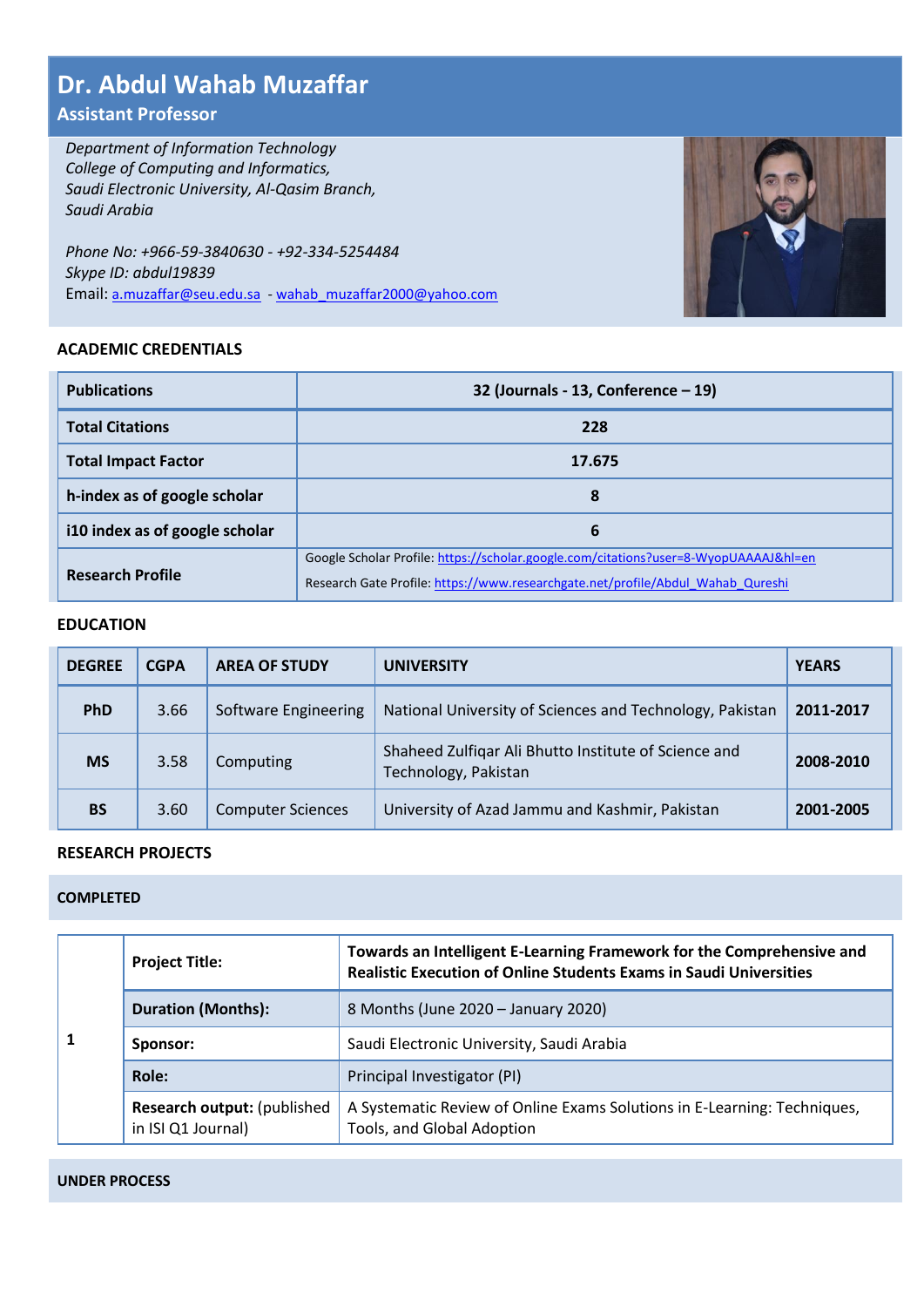# **Dr. Abdul Wahab Muzaffar**

# **Assistant Professor**

*Department of Information Technology College of Computing and Informatics, Saudi Electronic University, Al-Qasim Branch, Saudi Arabia*

*Phone No: +966-59-3840630 - +92-334-5254484 Skype ID: abdul19839* Email: [a.muzaffar@seu.edu.sa](mailto:a.muzaffar@seu.edu.sa) - [wahab\\_muzaffar2000@yahoo.com](mailto:wahab_muzaffar2000@yahoo.com)

# **ACADEMIC CREDENTIALS**

| CADEMIC CREDENTIALS.           |                                                                                                                                                                         |
|--------------------------------|-------------------------------------------------------------------------------------------------------------------------------------------------------------------------|
| <b>Publications</b>            | 32 (Journals - 13, Conference $-19$ )                                                                                                                                   |
| <b>Total Citations</b>         | 228                                                                                                                                                                     |
| <b>Total Impact Factor</b>     | 17.675                                                                                                                                                                  |
| h-index as of google scholar   | 8                                                                                                                                                                       |
| i10 index as of google scholar | 6                                                                                                                                                                       |
| <b>Research Profile</b>        | Google Scholar Profile: https://scholar.google.com/citations?user=8-WyopUAAAAJ&hl=en<br>Research Gate Profile: https://www.researchgate.net/profile/Abdul Wahab Qureshi |

# **EDUCATION**

| <b>DEGREE</b> | <b>CGPA</b> | <b>AREA OF STUDY</b>     | <b>UNIVERSITY</b>                                                            | <b>YEARS</b> |
|---------------|-------------|--------------------------|------------------------------------------------------------------------------|--------------|
| <b>PhD</b>    | 3.66        | Software Engineering     | National University of Sciences and Technology, Pakistan                     | 2011-2017    |
| <b>MS</b>     | 3.58        | Computing                | Shaheed Zulfigar Ali Bhutto Institute of Science and<br>Technology, Pakistan | 2008-2010    |
| <b>BS</b>     | 3.60        | <b>Computer Sciences</b> | University of Azad Jammu and Kashmir, Pakistan                               | 2001-2005    |

# **RESEARCH PROJECTS**

# **COMPLETED**

| <b>Project Title:</b>                                     | Towards an Intelligent E-Learning Framework for the Comprehensive and<br><b>Realistic Execution of Online Students Exams in Saudi Universities</b> |
|-----------------------------------------------------------|----------------------------------------------------------------------------------------------------------------------------------------------------|
| <b>Duration (Months):</b>                                 | 8 Months (June 2020 - January 2020)                                                                                                                |
| Sponsor:                                                  | Saudi Electronic University, Saudi Arabia                                                                                                          |
| Role:                                                     | Principal Investigator (PI)                                                                                                                        |
| <b>Research output: (published)</b><br>in ISI Q1 Journal) | A Systematic Review of Online Exams Solutions in E-Learning: Techniques,<br>Tools, and Global Adoption                                             |

#### **UNDER PROCESS**

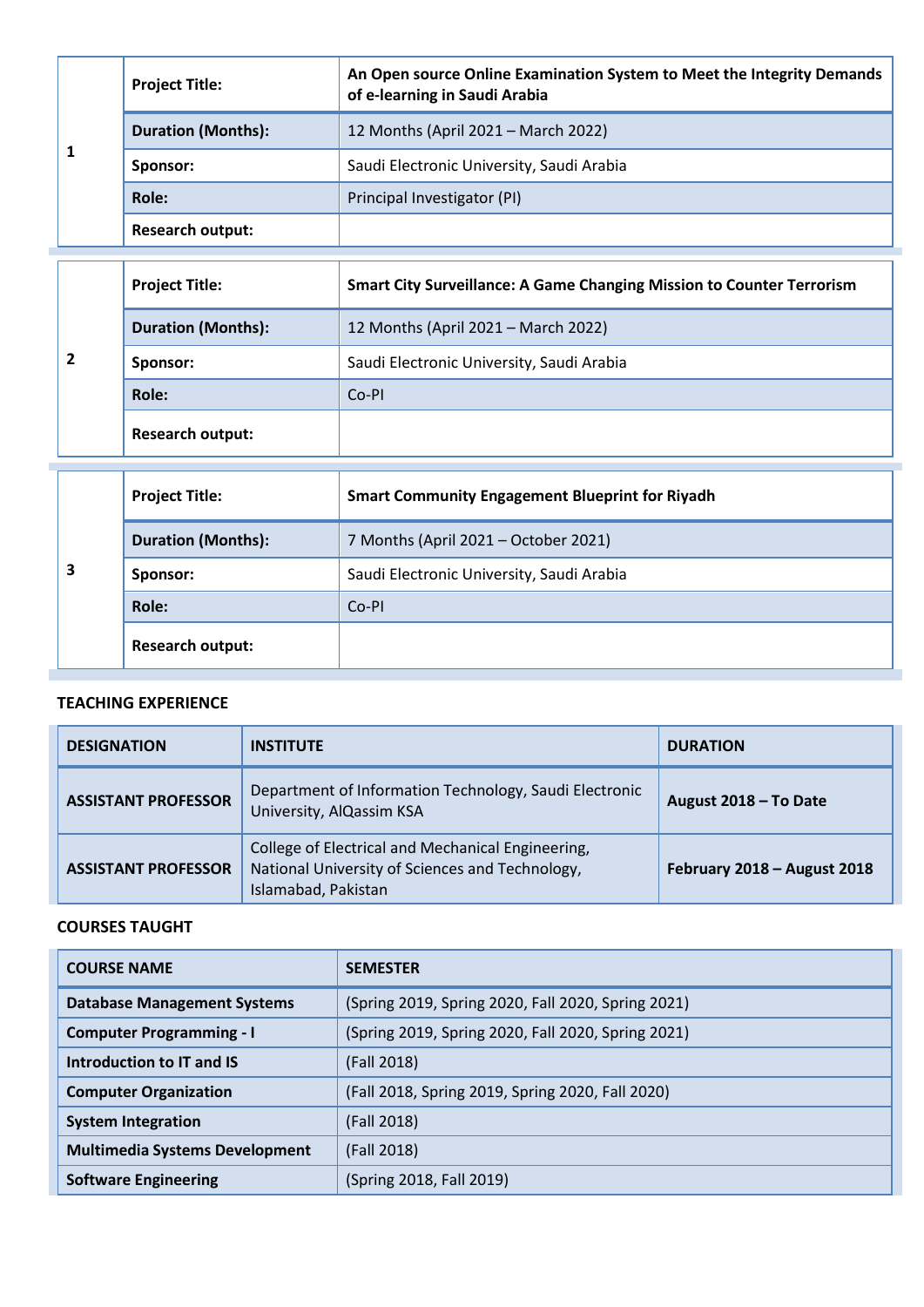| <b>Project Title:</b>     | An Open source Online Examination System to Meet the Integrity Demands<br>of e-learning in Saudi Arabia |
|---------------------------|---------------------------------------------------------------------------------------------------------|
| <b>Duration (Months):</b> | 12 Months (April 2021 – March 2022)                                                                     |
| Sponsor:                  | Saudi Electronic University, Saudi Arabia                                                               |
| Role:                     | Principal Investigator (PI)                                                                             |
| <b>Research output:</b>   |                                                                                                         |

| <b>Project Title:</b>     | <b>Smart City Surveillance: A Game Changing Mission to Counter Terrorism</b> |
|---------------------------|------------------------------------------------------------------------------|
| <b>Duration (Months):</b> | 12 Months (April 2021 – March 2022)                                          |
| Sponsor:                  | Saudi Electronic University, Saudi Arabia                                    |
| Role:                     | Co-PI                                                                        |
| <b>Research output:</b>   |                                                                              |

|   | <b>Project Title:</b>     | <b>Smart Community Engagement Blueprint for Riyadh</b> |
|---|---------------------------|--------------------------------------------------------|
|   | <b>Duration (Months):</b> | 7 Months (April 2021 - October 2021)                   |
| 3 | Sponsor:                  | Saudi Electronic University, Saudi Arabia              |
|   | Role:                     | Co-PI                                                  |
|   | <b>Research output:</b>   |                                                        |

# **TEACHING EXPERIENCE**

| <b>DESIGNATION</b>                                                                                                                                        | <b>INSTITUTE</b>                                                                   | <b>DURATION</b>             |
|-----------------------------------------------------------------------------------------------------------------------------------------------------------|------------------------------------------------------------------------------------|-----------------------------|
| <b>ASSISTANT PROFESSOR</b>                                                                                                                                | Department of Information Technology, Saudi Electronic<br>University, AlQassim KSA | August 2018 - To Date       |
| College of Electrical and Mechanical Engineering,<br>National University of Sciences and Technology,<br><b>ASSISTANT PROFESSOR</b><br>Islamabad, Pakistan |                                                                                    | February 2018 - August 2018 |

# **COURSES TAUGHT**

| <b>COURSE NAME</b>                    | <b>SEMESTER</b>                                    |  |
|---------------------------------------|----------------------------------------------------|--|
| <b>Database Management Systems</b>    | (Spring 2019, Spring 2020, Fall 2020, Spring 2021) |  |
| <b>Computer Programming - I</b>       | (Spring 2019, Spring 2020, Fall 2020, Spring 2021) |  |
| Introduction to IT and IS             | (Fall 2018)                                        |  |
| <b>Computer Organization</b>          | (Fall 2018, Spring 2019, Spring 2020, Fall 2020)   |  |
| <b>System Integration</b>             | (Fall 2018)                                        |  |
| <b>Multimedia Systems Development</b> | (Fall 2018)                                        |  |
| <b>Software Engineering</b>           | (Spring 2018, Fall 2019)                           |  |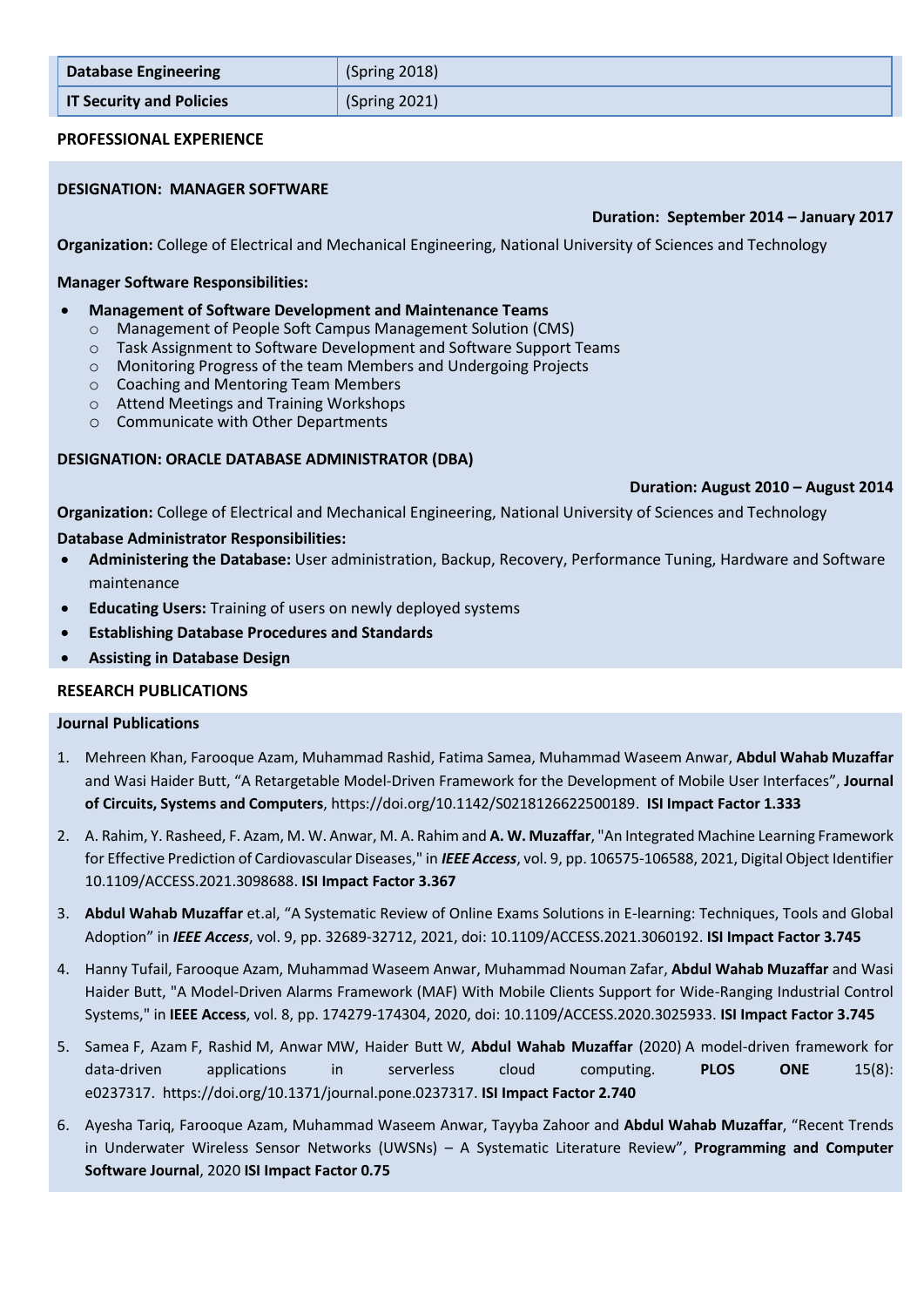| <b>Database Engineering</b>     | (Spring 2018) |  |
|---------------------------------|---------------|--|
| <b>IT Security and Policies</b> | (Spring 2021) |  |

# **PROFESSIONAL EXPERIENCE**

# **DESIGNATION: MANAGER SOFTWARE**

# **Duration: September 2014 – January 2017**

**Organization:** College of Electrical and Mechanical Engineering, National University of Sciences and Technology

#### **Manager Software Responsibilities:**

- **Management of Software Development and Maintenance Teams**
	- o Management of People Soft Campus Management Solution (CMS)
	- o Task Assignment to Software Development and Software Support Teams
	- o Monitoring Progress of the team Members and Undergoing Projects
	- o Coaching and Mentoring Team Members
	- o Attend Meetings and Training Workshops
	- o Communicate with Other Departments

# **DESIGNATION: ORACLE DATABASE ADMINISTRATOR (DBA)**

#### **Duration: August 2010 – August 2014**

**Organization:** College of Electrical and Mechanical Engineering, National University of Sciences and Technology

#### **Database Administrator Responsibilities:**

- **Administering the Database:** User administration, Backup, Recovery, Performance Tuning, Hardware and Software maintenance
- **Educating Users:** Training of users on newly deployed systems
- **Establishing Database Procedures and Standards**
- **Assisting in Database Design**

# **RESEARCH PUBLICATIONS**

#### **Journal Publications**

- 1. Mehreen Khan, Farooque Azam, Muhammad Rashid, Fatima Samea, Muhammad Waseem Anwar, **Abdul Wahab Muzaffar** and Wasi Haider Butt, "[A Retargetable Model-Driven Framework for the Development of Mobile User Interfaces](https://scholar.google.com/citations?view_op=view_citation&hl=en&user=8-WyopUAAAAJ&sortby=pubdate&citation_for_view=8-WyopUAAAAJ:_kc_bZDykSQC)", **Journal of Circuits, Systems and Computers**, https://doi.org/10.1142/S0218126622500189. **ISI Impact Factor 1.333**
- 2. A. Rahim, Y. Rasheed, F. Azam, M. W. Anwar, M. A. Rahim and **A. W. Muzaffar**, "An Integrated Machine Learning Framework for Effective Prediction of Cardiovascular Diseases," in *IEEE Access*, vol. 9, pp. 106575-106588, 2021, Digital Object Identifier 10.1109/ACCESS.2021.3098688. **ISI Impact Factor 3.367**
- 3. **Abdul Wahab Muzaffar** et.al, "A Systematic Review of Online Exams Solutions in E-learning: Techniques, Tools and Global Adoption" in *IEEE Access*, vol. 9, pp. 32689-32712, 2021, doi: 10.1109/ACCESS.2021.3060192. **ISI Impact Factor 3.745**
- 4. Hanny Tufail, Farooque Azam, Muhammad Waseem Anwar, Muhammad Nouman Zafar, **Abdul Wahab Muzaffar** and Wasi Haider Butt, "A Model-Driven Alarms Framework (MAF) With Mobile Clients Support for Wide-Ranging Industrial Control Systems," in **IEEE Access**, vol. 8, pp. 174279-174304, 2020, doi: 10.1109/ACCESS.2020.3025933. **ISI Impact Factor 3.745**
- 5. Samea F, Azam F, Rashid M, Anwar MW, Haider Butt W, **Abdul Wahab Muzaffar** (2020) A model-driven framework for data-driven applications in serverless cloud computing. **PLOS ONE** 15(8): e0237317. [https://doi.org/10.1371/journal.pone.0237317.](https://doi.org/10.1371/journal.pone.0237317) **ISI Impact Factor 2.740**
- 6. Ayesha Tariq, Farooque Azam, Muhammad Waseem Anwar, Tayyba Zahoor and **Abdul Wahab Muzaffar**, "Recent Trends in Underwater Wireless Sensor Networks (UWSNs) – A Systematic Literature Review", **Programming and Computer Software Journal**, 2020 **ISI Impact Factor 0.75**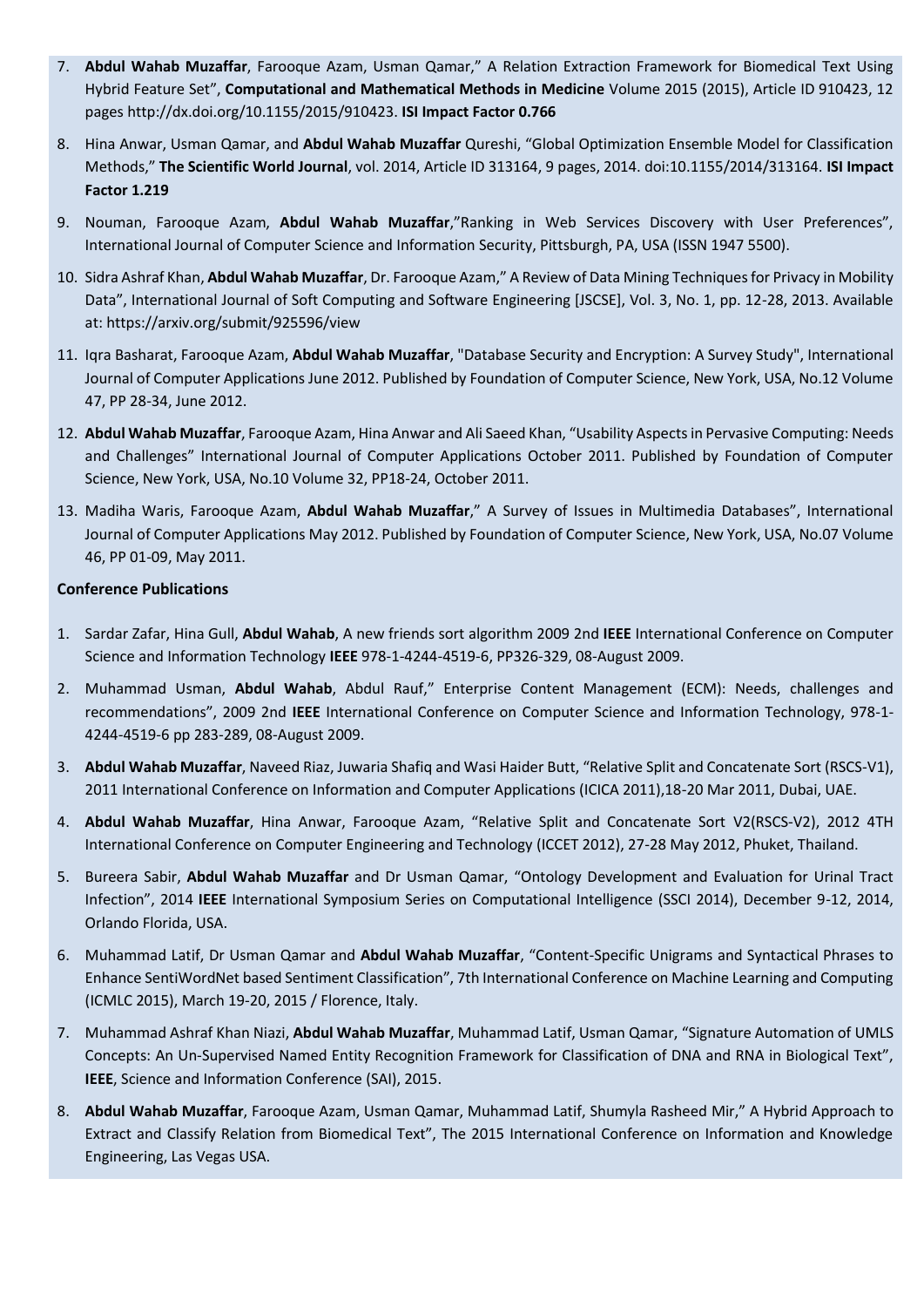- 7. **Abdul Wahab Muzaffar**, Farooque Azam, Usman Qamar," A Relation Extraction Framework for Biomedical Text Using Hybrid Feature Set", **Computational and Mathematical Methods in Medicine** Volume 2015 (2015), Article ID 910423, 12 pages http://dx.doi.org/10.1155/2015/910423. **ISI Impact Factor 0.766**
- 8. Hina Anwar, Usman Qamar, and **Abdul Wahab Muzaffar** Qureshi, "Global Optimization Ensemble Model for Classification Methods," **The Scientific World Journal**, vol. 2014, Article ID 313164, 9 pages, 2014. doi:10.1155/2014/313164. **ISI Impact Factor 1.219**
- 9. Nouman, Farooque Azam, **Abdul Wahab Muzaffar**,"Ranking in Web Services Discovery with User Preferences", International Journal of Computer Science and Information Security, Pittsburgh, PA, USA (ISSN 1947 5500).
- 10. Sidra Ashraf Khan, **Abdul Wahab Muzaffar**, Dr. Farooque Azam," A Review of Data Mining Techniques for Privacy in Mobility Data", International Journal of Soft Computing and Software Engineering [JSCSE], Vol. 3, No. 1, pp. 12-28, 2013. Available at: https://arxiv.org/submit/925596/view
- 11. Iqra Basharat, Farooque Azam, **Abdul Wahab Muzaffar**, "Database Security and Encryption: A Survey Study", International Journal of Computer Applications June 2012. Published by Foundation of Computer Science, New York, USA, No.12 Volume 47, PP 28-34, June 2012.
- 12. **Abdul Wahab Muzaffar**, Farooque Azam, Hina Anwar and Ali Saeed Khan, "Usability Aspects in Pervasive Computing: Needs and Challenges" International Journal of Computer Applications October 2011. Published by Foundation of Computer Science, New York, USA, No.10 Volume 32, PP18-24, October 2011.
- 13. Madiha Waris, Farooque Azam, **Abdul Wahab Muzaffar**," A Survey of Issues in Multimedia Databases", International Journal of Computer Applications May 2012. Published by Foundation of Computer Science, New York, USA, No.07 Volume 46, PP 01-09, May 2011.

# **Conference Publications**

- 1. Sardar Zafar, Hina Gull, **Abdul Wahab**, A new friends sort algorithm 2009 2nd **IEEE** International Conference on Computer Science and Information Technology **IEEE** 978-1-4244-4519-6, PP326-329, 08-August 2009.
- 2. Muhammad Usman, **Abdul Wahab**, Abdul Rauf," Enterprise Content Management (ECM): Needs, challenges and recommendations", 2009 2nd **IEEE** International Conference on Computer Science and Information Technology, 978-1- 4244-4519-6 pp 283-289, 08-August 2009.
- 3. **Abdul Wahab Muzaffar**, Naveed Riaz, Juwaria Shafiq and Wasi Haider Butt, "Relative Split and Concatenate Sort (RSCS-V1), 2011 International Conference on Information and Computer Applications (ICICA 2011),18-20 Mar 2011, Dubai, UAE.
- 4. **Abdul Wahab Muzaffar**, Hina Anwar, Farooque Azam, "Relative Split and Concatenate Sort V2(RSCS-V2), 2012 4TH International Conference on Computer Engineering and Technology (ICCET 2012), 27-28 May 2012, Phuket, Thailand.
- 5. Bureera Sabir, **Abdul Wahab Muzaffar** and Dr Usman Qamar, "Ontology Development and Evaluation for Urinal Tract Infection", 2014 **IEEE** International Symposium Series on Computational Intelligence (SSCI 2014), December 9-12, 2014, Orlando Florida, USA.
- 6. Muhammad Latif, Dr Usman Qamar and **Abdul Wahab Muzaffar**, "Content-Specific Unigrams and Syntactical Phrases to Enhance SentiWordNet based Sentiment Classification", 7th International Conference on Machine Learning and Computing (ICMLC 2015), March 19-20, 2015 / Florence, Italy.
- 7. Muhammad Ashraf Khan Niazi, **Abdul Wahab Muzaffar**, Muhammad Latif, Usman Qamar, "Signature Automation of UMLS Concepts: An Un-Supervised Named Entity Recognition Framework for Classification of DNA and RNA in Biological Text", **IEEE**, Science and Information Conference (SAI), 2015.
- 8. **Abdul Wahab Muzaffar**, Farooque Azam, Usman Qamar, Muhammad Latif, Shumyla Rasheed Mir," A Hybrid Approach to Extract and Classify Relation from Biomedical Text", The 2015 International Conference on Information and Knowledge Engineering, Las Vegas USA.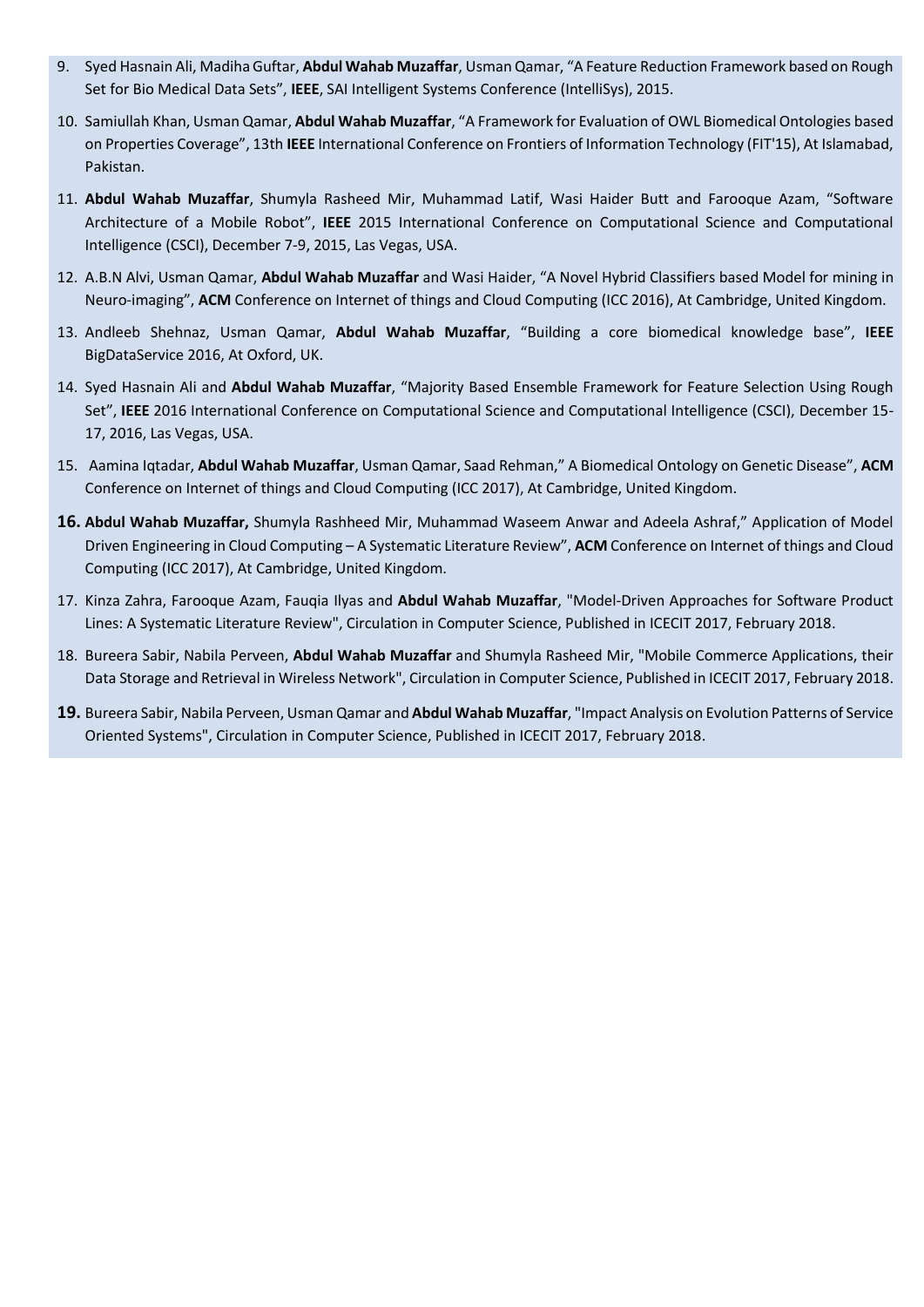- 9. Syed Hasnain Ali, Madiha Guftar, **Abdul Wahab Muzaffar**, Usman Qamar, "A Feature Reduction Framework based on Rough Set for Bio Medical Data Sets", **IEEE**, SAI Intelligent Systems Conference (IntelliSys), 2015.
- 10. Samiullah Khan, Usman Qamar, **Abdul Wahab Muzaffar**, "A Framework for Evaluation of OWL Biomedical Ontologies based on Properties Coverage", 13th **IEEE** International Conference on Frontiers of Information Technology (FIT'15), At Islamabad, Pakistan.
- 11. **Abdul Wahab Muzaffar**, Shumyla Rasheed Mir, Muhammad Latif, Wasi Haider Butt and Farooque Azam, "Software Architecture of a Mobile Robot", **IEEE** 2015 International Conference on Computational Science and Computational Intelligence (CSCI), December 7-9, 2015, Las Vegas, USA.
- 12. A.B.N Alvi, Usman Qamar, **Abdul Wahab Muzaffar** and Wasi Haider, "A Novel Hybrid Classifiers based Model for mining in Neuro-imaging", **ACM** Conference on Internet of things and Cloud Computing (ICC 2016), At Cambridge, United Kingdom.
- 13. Andleeb Shehnaz, Usman Qamar, **Abdul Wahab Muzaffar**, "Building a core biomedical knowledge base", **IEEE** BigDataService 2016, At Oxford, UK.
- 14. Syed Hasnain Ali and **Abdul Wahab Muzaffar**, "Majority Based Ensemble Framework for Feature Selection Using Rough Set", **IEEE** 2016 International Conference on Computational Science and Computational Intelligence (CSCI), December 15- 17, 2016, Las Vegas, USA.
- 15. Aamina Iqtadar, **Abdul Wahab Muzaffar**, Usman Qamar, Saad Rehman," A Biomedical Ontology on Genetic Disease", **ACM** Conference on Internet of things and Cloud Computing (ICC 2017), At Cambridge, United Kingdom.
- **16. Abdul Wahab Muzaffar,** Shumyla Rashheed Mir, Muhammad Waseem Anwar and Adeela Ashraf," Application of Model Driven Engineering in Cloud Computing – A Systematic Literature Review", **ACM** Conference on Internet of things and Cloud Computing (ICC 2017), At Cambridge, United Kingdom.
- 17. Kinza Zahra, Farooque Azam, Fauqia Ilyas and **Abdul Wahab Muzaffar**, "Model-Driven Approaches for Software Product Lines: A Systematic Literature Review", Circulation in Computer Science, Published in ICECIT 2017, February 2018.
- 18. Bureera Sabir, Nabila Perveen, **Abdul Wahab Muzaffar** and Shumyla Rasheed Mir, "Mobile Commerce Applications, their Data Storage and Retrieval in Wireless Network", Circulation in Computer Science, Published in ICECIT 2017, February 2018.
- **19.** Bureera Sabir, Nabila Perveen, Usman Qamar and **Abdul Wahab Muzaffar**, "Impact Analysis on Evolution Patterns of Service Oriented Systems", Circulation in Computer Science, Published in ICECIT 2017, February 2018.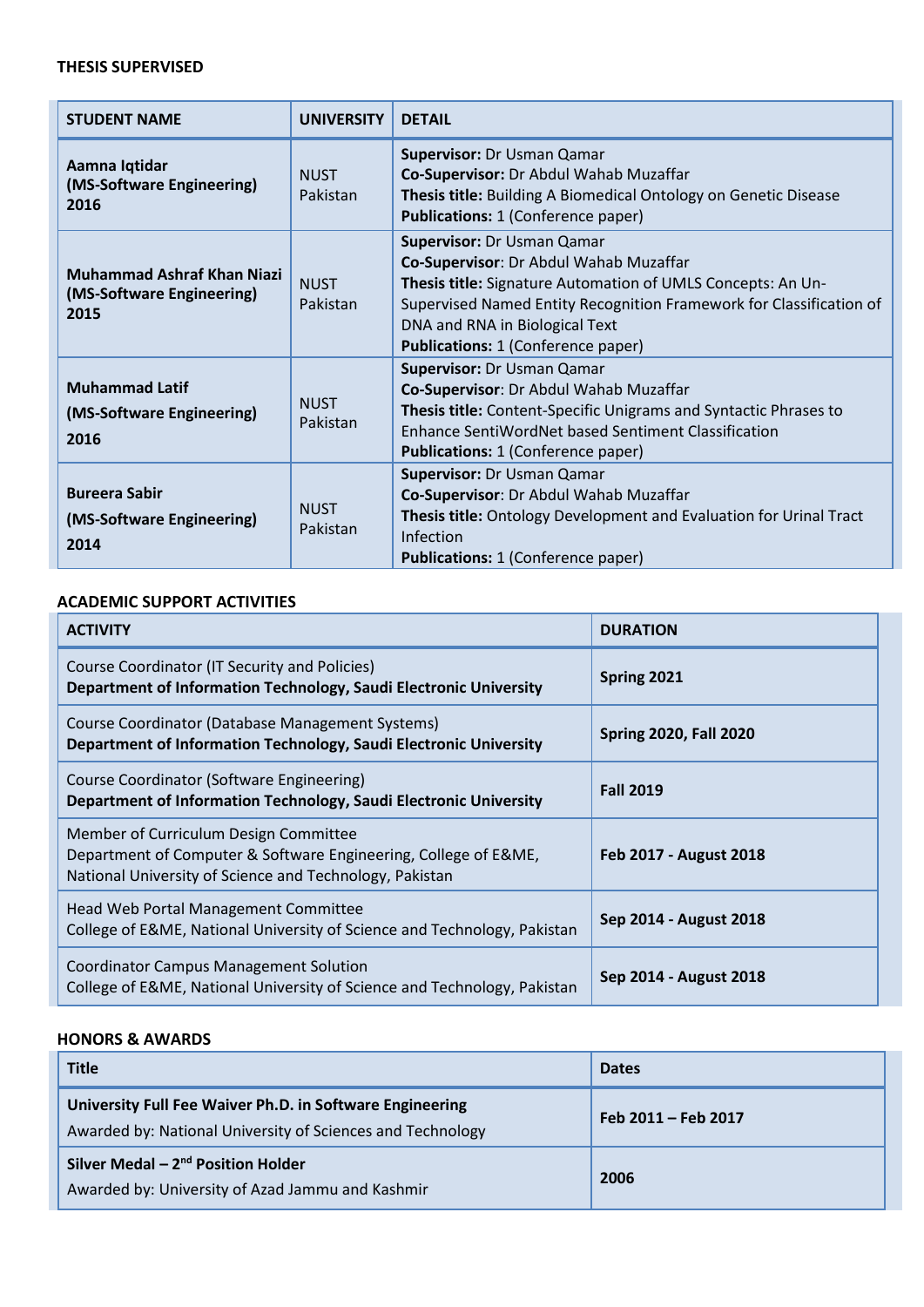# **THESIS SUPERVISED**

| <b>STUDENT NAME</b>                                                    | <b>UNIVERSITY</b>       | <b>DFTAIL</b>                                                                                                                                                                                                                                                                                    |  |
|------------------------------------------------------------------------|-------------------------|--------------------------------------------------------------------------------------------------------------------------------------------------------------------------------------------------------------------------------------------------------------------------------------------------|--|
| Aamna Iqtidar<br>(MS-Software Engineering)<br>2016                     | <b>NUST</b><br>Pakistan | Supervisor: Dr Usman Qamar<br>Co-Supervisor: Dr Abdul Wahab Muzaffar<br>Thesis title: Building A Biomedical Ontology on Genetic Disease<br><b>Publications: 1 (Conference paper)</b>                                                                                                             |  |
| <b>Muhammad Ashraf Khan Niazi</b><br>(MS-Software Engineering)<br>2015 | <b>NUST</b><br>Pakistan | <b>Supervisor: Dr Usman Qamar</b><br>Co-Supervisor: Dr Abdul Wahab Muzaffar<br>Thesis title: Signature Automation of UMLS Concepts: An Un-<br>Supervised Named Entity Recognition Framework for Classification of<br>DNA and RNA in Biological Text<br><b>Publications: 1 (Conference paper)</b> |  |
| <b>Muhammad Latif</b><br>(MS-Software Engineering)<br>2016             | <b>NUST</b><br>Pakistan | Supervisor: Dr Usman Qamar<br>Co-Supervisor: Dr Abdul Wahab Muzaffar<br>Thesis title: Content-Specific Unigrams and Syntactic Phrases to<br>Enhance SentiWordNet based Sentiment Classification<br><b>Publications: 1 (Conference paper)</b>                                                     |  |
| <b>Bureera Sabir</b><br>(MS-Software Engineering)<br>2014              | <b>NUST</b><br>Pakistan | Supervisor: Dr Usman Qamar<br>Co-Supervisor: Dr Abdul Wahab Muzaffar<br>Thesis title: Ontology Development and Evaluation for Urinal Tract<br>Infection<br><b>Publications: 1 (Conference paper)</b>                                                                                             |  |

# **ACADEMIC SUPPORT ACTIVITIES**

| <b>ACTIVITY</b>                                                                                                                                                     | <b>DURATION</b>               |
|---------------------------------------------------------------------------------------------------------------------------------------------------------------------|-------------------------------|
| Course Coordinator (IT Security and Policies)<br>Department of Information Technology, Saudi Electronic University                                                  | Spring 2021                   |
| Course Coordinator (Database Management Systems)<br>Department of Information Technology, Saudi Electronic University                                               | <b>Spring 2020, Fall 2020</b> |
| Course Coordinator (Software Engineering)<br>Department of Information Technology, Saudi Electronic University                                                      | <b>Fall 2019</b>              |
| Member of Curriculum Design Committee<br>Department of Computer & Software Engineering, College of E&ME,<br>National University of Science and Technology, Pakistan | Feb 2017 - August 2018        |
| Head Web Portal Management Committee<br>College of E&ME, National University of Science and Technology, Pakistan                                                    | Sep 2014 - August 2018        |
| <b>Coordinator Campus Management Solution</b><br>College of E&ME, National University of Science and Technology, Pakistan                                           | Sep 2014 - August 2018        |

# **HONORS & AWARDS**

| <b>Title</b>                                                                                                           | <b>Dates</b>        |
|------------------------------------------------------------------------------------------------------------------------|---------------------|
| University Full Fee Waiver Ph.D. in Software Engineering<br>Awarded by: National University of Sciences and Technology | Feb 2011 - Feb 2017 |
| Silver Medal $-2nd$ Position Holder<br>Awarded by: University of Azad Jammu and Kashmir                                | 2006                |